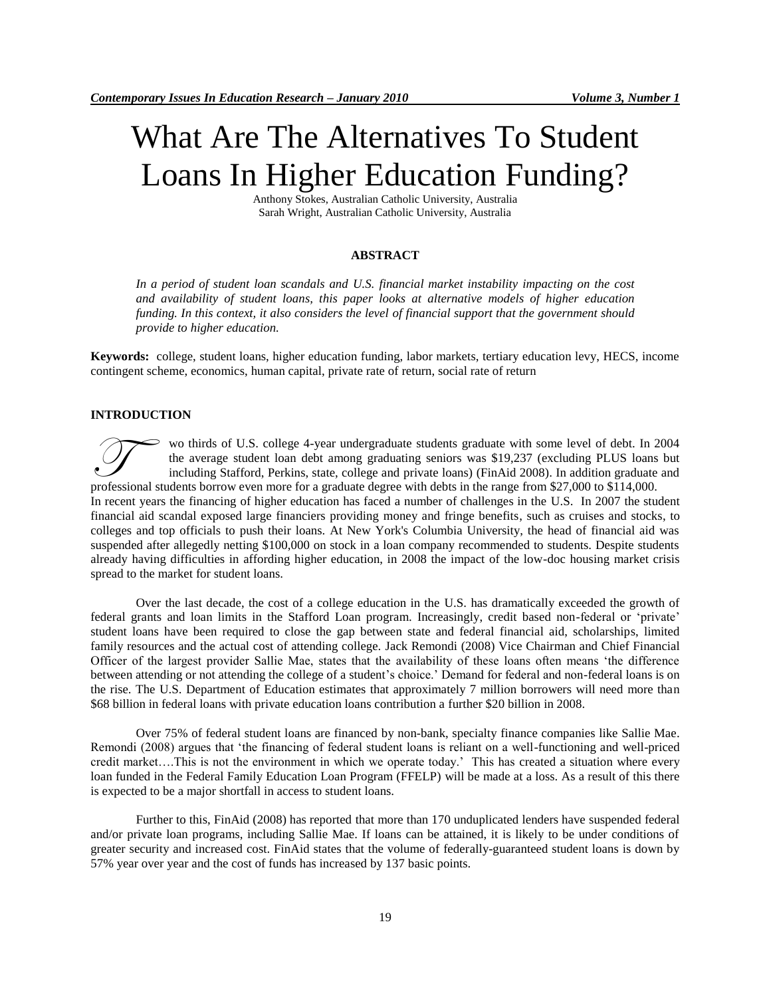# What Are The Alternatives To Student Loans In Higher Education Funding?

Anthony Stokes, Australian Catholic University, Australia Sarah Wright, Australian Catholic University, Australia

#### **ABSTRACT**

*In a period of student loan scandals and U.S. financial market instability impacting on the cost and availability of student loans, this paper looks at alternative models of higher education funding. In this context, it also considers the level of financial support that the government should provide to higher education.* 

**Keywords:** college, student loans, higher education funding, labor markets, tertiary education levy, HECS, income contingent scheme, economics, human capital, private rate of return, social rate of return

#### **INTRODUCTION**

wo thirds of U.S. college 4-year undergraduate students graduate with some level of debt. In 2004 the average student loan debt among graduating seniors was \$19,237 (excluding PLUS loans but including Stafford, Perkins, state, college and private loans) (FinAid 2008). In addition graduate and wo thirds of U.S. college 4-year undergraduate students graduate with some level of debt. In 2 the average student loan debt among graduating seniors was \$19,237 (excluding PLUS loans including Stafford, Perkins, state, co In recent years the financing of higher education has faced a number of challenges in the U.S. In 2007 the student financial aid scandal exposed large financiers providing money and fringe benefits, such as cruises and stocks, to colleges and top officials to push their loans. At New York's Columbia University, the head of financial aid was suspended after allegedly netting \$100,000 on stock in a loan company recommended to students. Despite students already having difficulties in affording higher education, in 2008 the impact of the low-doc housing market crisis spread to the market for student loans.

Over the last decade, the cost of a college education in the U.S. has dramatically exceeded the growth of federal grants and loan limits in the Stafford Loan program. Increasingly, credit based non-federal or "private" student loans have been required to close the gap between state and federal financial aid, scholarships, limited family resources and the actual cost of attending college. Jack Remondi (2008) Vice Chairman and Chief Financial Officer of the largest provider Sallie Mae, states that the availability of these loans often means "the difference between attending or not attending the college of a student"s choice." Demand for federal and non-federal loans is on the rise. The U.S. Department of Education estimates that approximately 7 million borrowers will need more than \$68 billion in federal loans with private education loans contribution a further \$20 billion in 2008.

Over 75% of federal student loans are financed by non-bank, specialty finance companies like Sallie Mae. Remondi (2008) argues that "the financing of federal student loans is reliant on a well-functioning and well-priced credit market….This is not the environment in which we operate today." This has created a situation where every loan funded in the Federal Family Education Loan Program (FFELP) will be made at a loss. As a result of this there is expected to be a major shortfall in access to student loans.

Further to this, FinAid (2008) has reported that more than 170 unduplicated lenders have suspended federal and/or private loan programs, including Sallie Mae. If loans can be attained, it is likely to be under conditions of greater security and increased cost. FinAid states that the volume of federally-guaranteed student loans is down by 57% year over year and the cost of funds has increased by 137 basic points.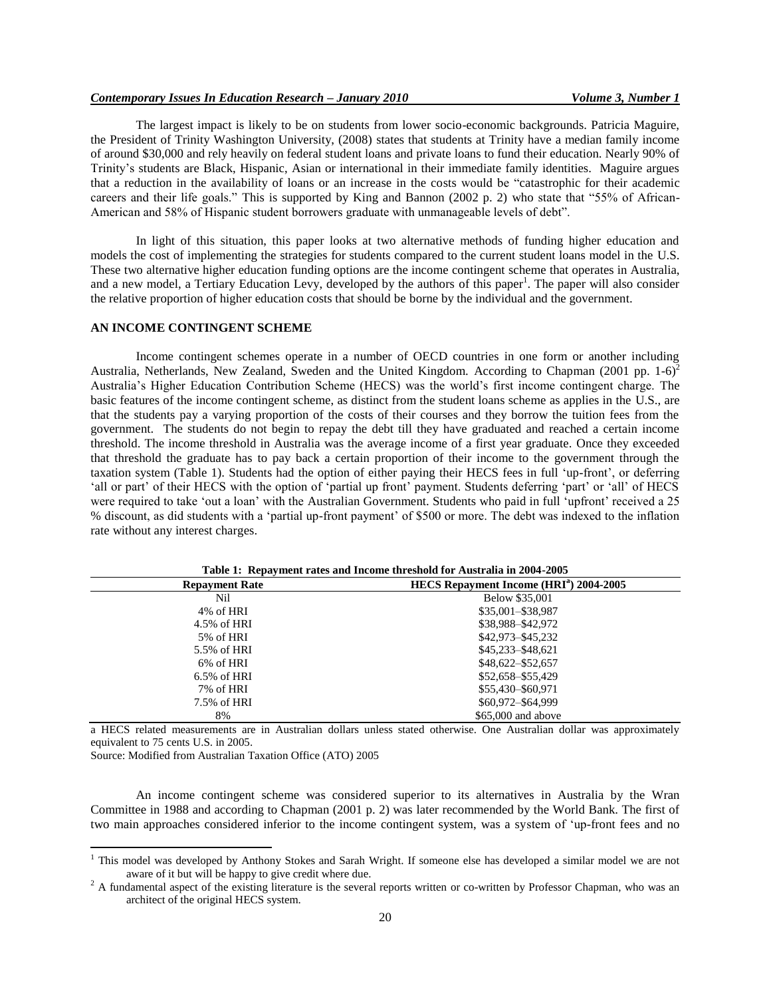The largest impact is likely to be on students from lower socio-economic backgrounds. Patricia Maguire, the President of Trinity Washington University, (2008) states that students at Trinity have a median family income of around \$30,000 and rely heavily on federal student loans and private loans to fund their education. Nearly 90% of Trinity"s students are Black, Hispanic, Asian or international in their immediate family identities. Maguire argues that a reduction in the availability of loans or an increase in the costs would be "catastrophic for their academic careers and their life goals." This is supported by King and Bannon (2002 p. 2) who state that "55% of African-American and 58% of Hispanic student borrowers graduate with unmanageable levels of debt".

In light of this situation, this paper looks at two alternative methods of funding higher education and models the cost of implementing the strategies for students compared to the current student loans model in the U.S. These two alternative higher education funding options are the income contingent scheme that operates in Australia, and a new model, a Tertiary Education Levy, developed by the authors of this paper<sup>1</sup>. The paper will also consider the relative proportion of higher education costs that should be borne by the individual and the government.

#### **AN INCOME CONTINGENT SCHEME**

Income contingent schemes operate in a number of OECD countries in one form or another including Australia, Netherlands, New Zealand, Sweden and the United Kingdom. According to Chapman (2001 pp. 1-6)<sup>2</sup> Australia"s Higher Education Contribution Scheme (HECS) was the world"s first income contingent charge. The basic features of the income contingent scheme, as distinct from the student loans scheme as applies in the U.S., are that the students pay a varying proportion of the costs of their courses and they borrow the tuition fees from the government. The students do not begin to repay the debt till they have graduated and reached a certain income threshold. The income threshold in Australia was the average income of a first year graduate. Once they exceeded that threshold the graduate has to pay back a certain proportion of their income to the government through the taxation system (Table 1). Students had the option of either paying their HECS fees in full "up-front", or deferring 'all or part' of their HECS with the option of 'partial up front' payment. Students deferring 'part' or 'all' of HECS were required to take "out a loan" with the Australian Government. Students who paid in full "upfront" received a 25 % discount, as did students with a "partial up-front payment" of \$500 or more. The debt was indexed to the inflation rate without any interest charges.

| <b>Repayment Rate</b> | HECS Repayment Income (HRI <sup>a</sup> ) 2004-2005 |  |
|-----------------------|-----------------------------------------------------|--|
| Nil                   | Below \$35,001                                      |  |
| 4% of HRI             | \$35,001-\$38,987                                   |  |
| 4.5% of HRI           | \$38,988-\$42,972                                   |  |
| 5% of HRI             | \$42,973-\$45,232                                   |  |
| 5.5% of HRI           | \$45,233-\$48,621                                   |  |
| 6% of HRI             | \$48,622-\$52,657                                   |  |
| $6.5\%$ of HRI        | \$52,658-\$55,429                                   |  |
| 7% of HRI             | \$55,430-\$60,971                                   |  |
| 7.5% of HRI           | \$60,972-\$64,999                                   |  |
| 8%                    | \$65,000 and above                                  |  |

**Table 1: Repayment rates and Income threshold for Australia in 2004-2005**

a HECS related measurements are in Australian dollars unless stated otherwise. One Australian dollar was approximately equivalent to 75 cents U.S. in 2005.

Source: Modified from Australian Taxation Office (ATO) 2005

 $\overline{\phantom{a}}$ 

An income contingent scheme was considered superior to its alternatives in Australia by the Wran Committee in 1988 and according to Chapman (2001 p. 2) was later recommended by the World Bank. The first of two main approaches considered inferior to the income contingent system, was a system of "up-front fees and no

<sup>&</sup>lt;sup>1</sup> This model was developed by Anthony Stokes and Sarah Wright. If someone else has developed a similar model we are not aware of it but will be happy to give credit where due.

<sup>&</sup>lt;sup>2</sup> A fundamental aspect of the existing literature is the several reports written or co-written by Professor Chapman, who was an architect of the original HECS system.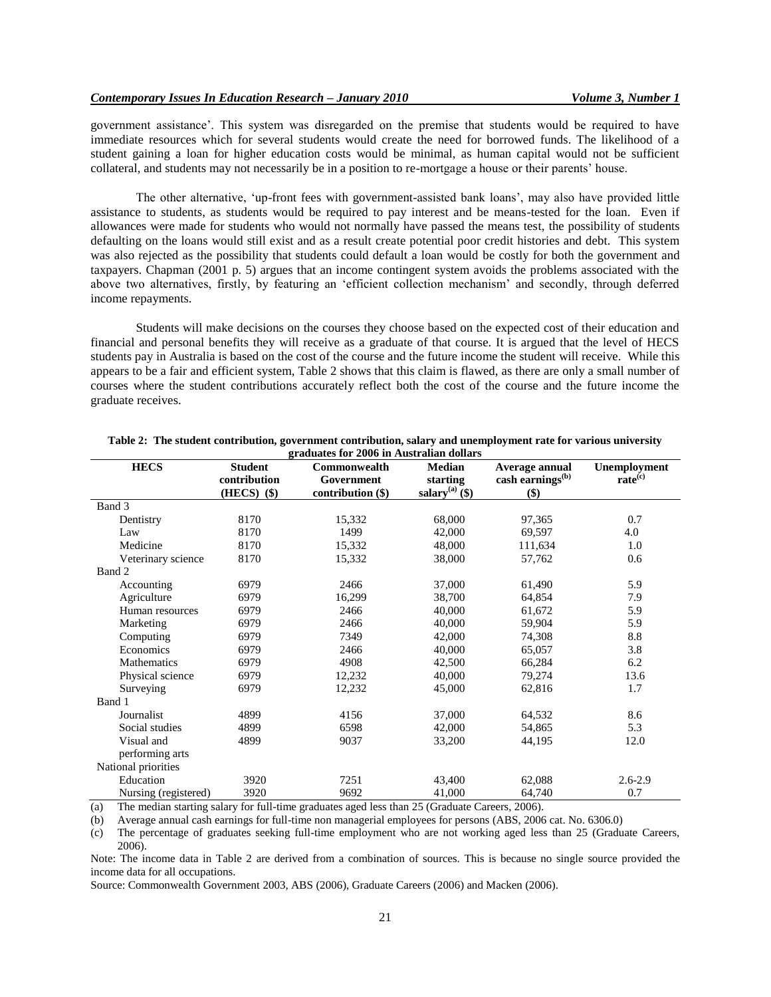government assistance". This system was disregarded on the premise that students would be required to have immediate resources which for several students would create the need for borrowed funds. The likelihood of a student gaining a loan for higher education costs would be minimal, as human capital would not be sufficient collateral, and students may not necessarily be in a position to re-mortgage a house or their parents' house.

The other alternative, "up-front fees with government-assisted bank loans", may also have provided little assistance to students, as students would be required to pay interest and be means-tested for the loan. Even if allowances were made for students who would not normally have passed the means test, the possibility of students defaulting on the loans would still exist and as a result create potential poor credit histories and debt. This system was also rejected as the possibility that students could default a loan would be costly for both the government and taxpayers. Chapman (2001 p. 5) argues that an income contingent system avoids the problems associated with the above two alternatives, firstly, by featuring an 'efficient collection mechanism' and secondly, through deferred income repayments.

Students will make decisions on the courses they choose based on the expected cost of their education and financial and personal benefits they will receive as a graduate of that course. It is argued that the level of HECS students pay in Australia is based on the cost of the course and the future income the student will receive. While this appears to be a fair and efficient system, Table 2 shows that this claim is flawed, as there are only a small number of courses where the student contributions accurately reflect both the cost of the course and the future income the graduate receives.

| <b>HECS</b>          | <b>Student</b>               | Commonwealth      | <b>Median</b>          | Average annual                 | Unemployment        |
|----------------------|------------------------------|-------------------|------------------------|--------------------------------|---------------------|
|                      | contribution                 | Government        | starting               | cash earnings <sup>(b)</sup>   | rate <sup>(c)</sup> |
|                      | $(HECS)$ $($ \$)             | contribution (\$) | salary $^{(a)}$ $(\$)$ | \$)                            |                     |
| Band 3               |                              |                   |                        |                                |                     |
| Dentistry            | 8170                         | 15,332            | 68,000                 | 97,365                         | 0.7                 |
| Law                  | 8170                         | 1499              | 42,000                 | 69,597                         | 4.0                 |
| Medicine             | 8170                         | 15,332            | 48,000                 | 111,634                        | 1.0                 |
| Veterinary science   | 8170                         | 15,332            | 38,000                 | 57,762                         | 0.6                 |
| Band 2               |                              |                   |                        |                                |                     |
| Accounting           | 6979                         | 2466              | 37,000                 | 61,490                         | 5.9                 |
| Agriculture          | 6979                         | 16,299            | 38,700                 | 64,854                         | 7.9                 |
| Human resources      | 6979                         | 2466              | 40,000                 | 61,672                         | 5.9                 |
| Marketing            | 6979                         | 2466              | 40,000                 | 59,904                         | 5.9                 |
| Computing            | 6979                         | 7349              | 42,000                 | 74,308                         | 8.8                 |
| Economics            | 6979                         | 2466              | 40,000                 | 65,057                         | 3.8                 |
| Mathematics          | 6979                         | 4908              | 42,500                 | 66,284                         | 6.2                 |
| Physical science     | 6979                         | 12,232            | 40,000                 | 79,274                         | 13.6                |
| Surveying            | 6979                         | 12,232            | 45,000                 | 62,816                         | 1.7                 |
| Band 1               |                              |                   |                        |                                |                     |
| Journalist           | 4899                         | 4156              | 37,000                 | 64,532                         | 8.6                 |
| Social studies       | 4899                         | 6598              | 42,000                 | 54,865                         | 5.3                 |
| Visual and           | 4899                         | 9037              | 33,200                 | 44,195                         | 12.0                |
| performing arts      |                              |                   |                        |                                |                     |
| National priorities  |                              |                   |                        |                                |                     |
| Education            | 3920                         | 7251              | 43,400                 | 62,088                         | $2.6 - 2.9$         |
| Nursing (registered) | 3920<br>$\sim$ $\sim$ $\sim$ | 9692              | 41,000<br>$- - - -$    | 64,740<br>$\sim$ $\sim$ $\sim$ | 0.7                 |

|                                          | Table 2: The student contribution, government contribution, salary and unemployment rate for various university |
|------------------------------------------|-----------------------------------------------------------------------------------------------------------------|
| graduates for 2006 in Australian dollars |                                                                                                                 |

(a) The median starting salary for full-time graduates aged less than 25 (Graduate Careers, 2006).

(b) Average annual cash earnings for full-time non managerial employees for persons (ABS, 2006 cat. No. 6306.0)

(c) The percentage of graduates seeking full-time employment who are not working aged less than 25 (Graduate Careers, 2006).

Note: The income data in Table 2 are derived from a combination of sources. This is because no single source provided the income data for all occupations.

Source: Commonwealth Government 2003, ABS (2006), Graduate Careers (2006) and Macken (2006).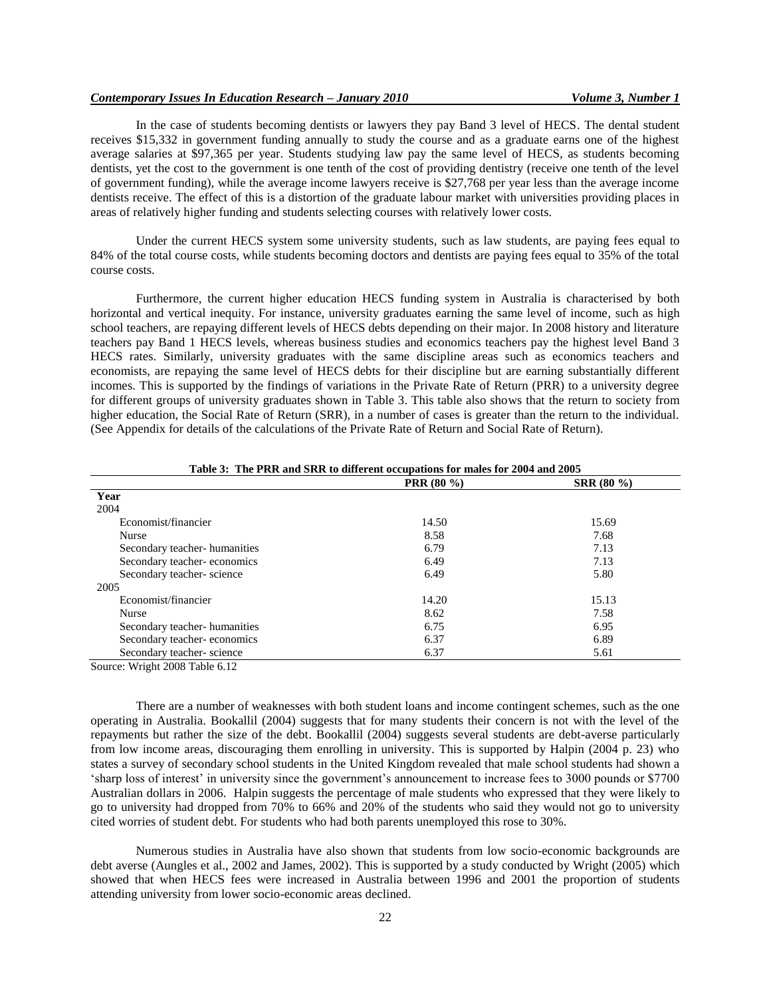In the case of students becoming dentists or lawyers they pay Band 3 level of HECS. The dental student receives \$15,332 in government funding annually to study the course and as a graduate earns one of the highest average salaries at \$97,365 per year. Students studying law pay the same level of HECS, as students becoming dentists, yet the cost to the government is one tenth of the cost of providing dentistry (receive one tenth of the level of government funding), while the average income lawyers receive is \$27,768 per year less than the average income dentists receive. The effect of this is a distortion of the graduate labour market with universities providing places in areas of relatively higher funding and students selecting courses with relatively lower costs.

Under the current HECS system some university students, such as law students, are paying fees equal to 84% of the total course costs, while students becoming doctors and dentists are paying fees equal to 35% of the total course costs.

Furthermore, the current higher education HECS funding system in Australia is characterised by both horizontal and vertical inequity. For instance, university graduates earning the same level of income, such as high school teachers, are repaying different levels of HECS debts depending on their major. In 2008 history and literature teachers pay Band 1 HECS levels, whereas business studies and economics teachers pay the highest level Band 3 HECS rates. Similarly, university graduates with the same discipline areas such as economics teachers and economists, are repaying the same level of HECS debts for their discipline but are earning substantially different incomes. This is supported by the findings of variations in the Private Rate of Return (PRR) to a university degree for different groups of university graduates shown in Table 3. This table also shows that the return to society from higher education, the Social Rate of Return (SRR), in a number of cases is greater than the return to the individual. (See Appendix for details of the calculations of the Private Rate of Return and Social Rate of Return).

|                               | <b>PRR</b> (80 %) | <b>SRR</b> (80 %) |
|-------------------------------|-------------------|-------------------|
| Year                          |                   |                   |
| 2004                          |                   |                   |
| Economist/financier           | 14.50             | 15.69             |
| <b>Nurse</b>                  | 8.58              | 7.68              |
| Secondary teacher-humanities  | 6.79              | 7.13              |
| Secondary teacher-economics   | 6.49              | 7.13              |
| Secondary teacher-science     | 6.49              | 5.80              |
| 2005                          |                   |                   |
| Economist/financier           | 14.20             | 15.13             |
| Nurse                         | 8.62              | 7.58              |
| Secondary teacher- humanities | 6.75              | 6.95              |
| Secondary teacher-economics   | 6.37              | 6.89              |
| Secondary teacher-science     | 6.37              | 5.61              |

Source: Wright 2008 Table 6.12

There are a number of weaknesses with both student loans and income contingent schemes, such as the one operating in Australia. Bookallil (2004) suggests that for many students their concern is not with the level of the repayments but rather the size of the debt. Bookallil (2004) suggests several students are debt-averse particularly from low income areas, discouraging them enrolling in university. This is supported by Halpin (2004 p. 23) who states a survey of secondary school students in the United Kingdom revealed that male school students had shown a "sharp loss of interest" in university since the government"s announcement to increase fees to 3000 pounds or \$7700 Australian dollars in 2006. Halpin suggests the percentage of male students who expressed that they were likely to go to university had dropped from 70% to 66% and 20% of the students who said they would not go to university cited worries of student debt. For students who had both parents unemployed this rose to 30%.

Numerous studies in Australia have also shown that students from low socio-economic backgrounds are debt averse (Aungles et al., 2002 and James, 2002). This is supported by a study conducted by Wright (2005) which showed that when HECS fees were increased in Australia between 1996 and 2001 the proportion of students attending university from lower socio-economic areas declined.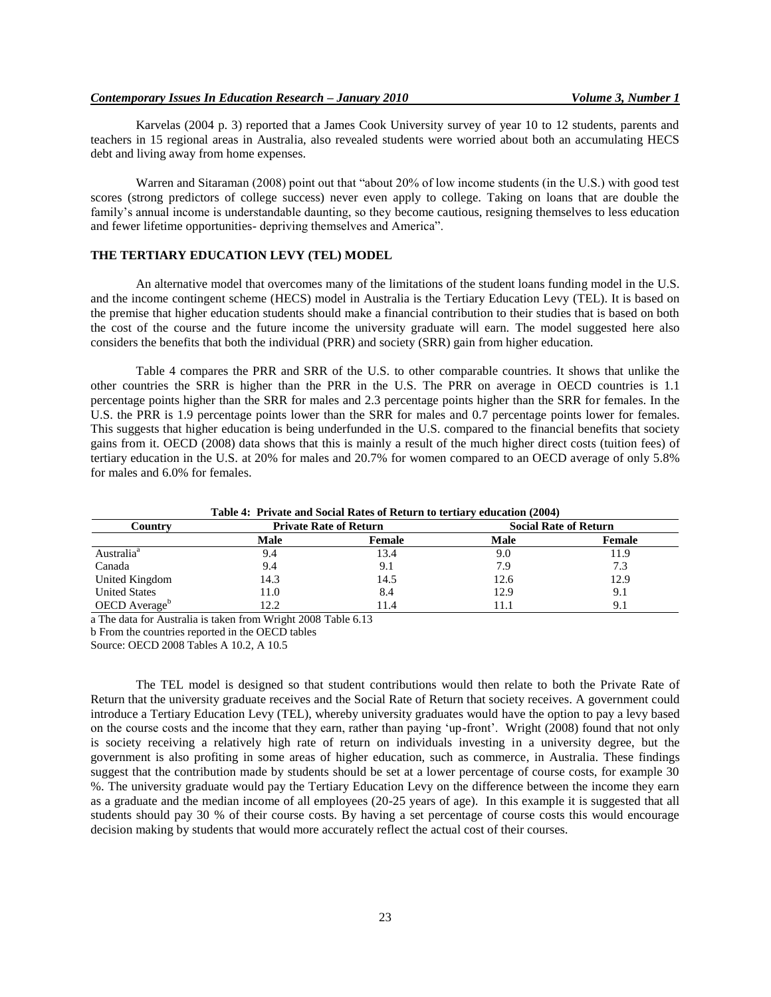Karvelas (2004 p. 3) reported that a James Cook University survey of year 10 to 12 students, parents and teachers in 15 regional areas in Australia, also revealed students were worried about both an accumulating HECS debt and living away from home expenses.

Warren and Sitaraman (2008) point out that "about 20% of low income students (in the U.S.) with good test scores (strong predictors of college success) never even apply to college. Taking on loans that are double the family"s annual income is understandable daunting, so they become cautious, resigning themselves to less education and fewer lifetime opportunities- depriving themselves and America".

## **THE TERTIARY EDUCATION LEVY (TEL) MODEL**

An alternative model that overcomes many of the limitations of the student loans funding model in the U.S. and the income contingent scheme (HECS) model in Australia is the Tertiary Education Levy (TEL). It is based on the premise that higher education students should make a financial contribution to their studies that is based on both the cost of the course and the future income the university graduate will earn. The model suggested here also considers the benefits that both the individual (PRR) and society (SRR) gain from higher education.

Table 4 compares the PRR and SRR of the U.S. to other comparable countries. It shows that unlike the other countries the SRR is higher than the PRR in the U.S. The PRR on average in OECD countries is 1.1 percentage points higher than the SRR for males and 2.3 percentage points higher than the SRR for females. In the U.S. the PRR is 1.9 percentage points lower than the SRR for males and 0.7 percentage points lower for females. This suggests that higher education is being underfunded in the U.S. compared to the financial benefits that society gains from it. OECD (2008) data shows that this is mainly a result of the much higher direct costs (tuition fees) of tertiary education in the U.S. at 20% for males and 20.7% for women compared to an OECD average of only 5.8% for males and 6.0% for females.

| Table 4: Private and Social Rates of Return to tertiary education (2004) |                               |        |      |                              |
|--------------------------------------------------------------------------|-------------------------------|--------|------|------------------------------|
| Country                                                                  | <b>Private Rate of Return</b> |        |      | <b>Social Rate of Return</b> |
|                                                                          | Male                          | Female | Male | Female                       |
| Australia <sup>a</sup>                                                   | 9.4                           | l 3.4  | 9.0  | 11.9                         |
| Canada                                                                   | 9.4                           |        | 7.9  | 7.3                          |
| United Kingdom                                                           | 14.3                          | 14.5   | 12.6 | 12.9                         |
| <b>United States</b>                                                     | 11.0                          | 8.4    | 12.9 | 9.1                          |
| OECD Average <sup>b</sup>                                                | 12.2                          | 1.4    | 1.1  |                              |

**Table 4: Private and Social Rates of Return to tertiary education (2004)**

a The data for Australia is taken from Wright 2008 Table 6.13

b From the countries reported in the OECD tables

Source: OECD 2008 Tables A 10.2, A 10.5

The TEL model is designed so that student contributions would then relate to both the Private Rate of Return that the university graduate receives and the Social Rate of Return that society receives. A government could introduce a Tertiary Education Levy (TEL), whereby university graduates would have the option to pay a levy based on the course costs and the income that they earn, rather than paying "up-front". Wright (2008) found that not only is society receiving a relatively high rate of return on individuals investing in a university degree, but the government is also profiting in some areas of higher education, such as commerce, in Australia. These findings suggest that the contribution made by students should be set at a lower percentage of course costs, for example 30 %. The university graduate would pay the Tertiary Education Levy on the difference between the income they earn as a graduate and the median income of all employees (20-25 years of age). In this example it is suggested that all students should pay 30 % of their course costs. By having a set percentage of course costs this would encourage decision making by students that would more accurately reflect the actual cost of their courses.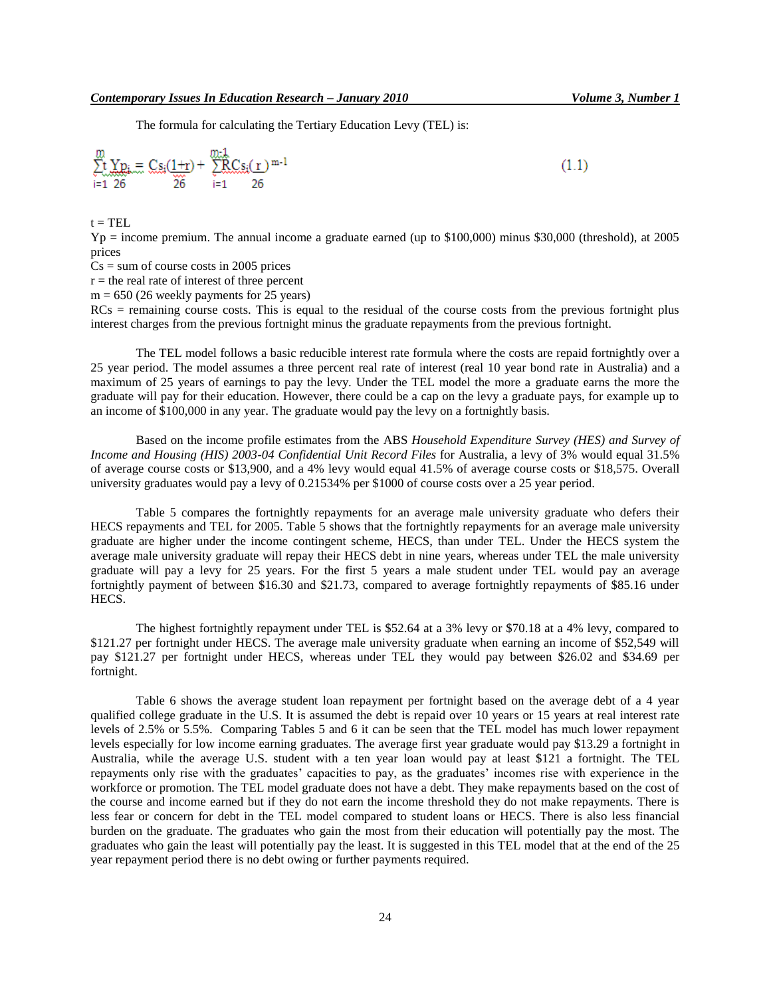The formula for calculating the Tertiary Education Levy (TEL) is:

$$
\sum_{i=1}^{m} \underbrace{Yp_i}_{26} = \underbrace{Cs_i(1+r)}_{26} + \underbrace{\sum_{i=1}^{m+1} CS_i(r)}_{i=1}^{m-1}
$$
\n(1.1)

 $t = TEL$ 

 $Yp =$  income premium. The annual income a graduate earned (up to \$100,000) minus \$30,000 (threshold), at 2005 prices

 $Cs = sum of course costs in 2005 prices$ 

 $r =$  the real rate of interest of three percent

 $m = 650$  (26 weekly payments for 25 years)

 $RCs$  = remaining course costs. This is equal to the residual of the course costs from the previous fortnight plus interest charges from the previous fortnight minus the graduate repayments from the previous fortnight.

The TEL model follows a basic reducible interest rate formula where the costs are repaid fortnightly over a 25 year period. The model assumes a three percent real rate of interest (real 10 year bond rate in Australia) and a maximum of 25 years of earnings to pay the levy. Under the TEL model the more a graduate earns the more the graduate will pay for their education. However, there could be a cap on the levy a graduate pays, for example up to an income of \$100,000 in any year. The graduate would pay the levy on a fortnightly basis.

Based on the income profile estimates from the ABS *Household Expenditure Survey (HES) and Survey of Income and Housing (HIS) 2003-04 Confidential Unit Record Files* for Australia, a levy of 3% would equal 31.5% of average course costs or \$13,900, and a 4% levy would equal 41.5% of average course costs or \$18,575. Overall university graduates would pay a levy of 0.21534% per \$1000 of course costs over a 25 year period.

Table 5 compares the fortnightly repayments for an average male university graduate who defers their HECS repayments and TEL for 2005. Table 5 shows that the fortnightly repayments for an average male university graduate are higher under the income contingent scheme, HECS, than under TEL. Under the HECS system the average male university graduate will repay their HECS debt in nine years, whereas under TEL the male university graduate will pay a levy for 25 years. For the first 5 years a male student under TEL would pay an average fortnightly payment of between \$16.30 and \$21.73, compared to average fortnightly repayments of \$85.16 under HECS.

The highest fortnightly repayment under TEL is \$52.64 at a 3% levy or \$70.18 at a 4% levy, compared to \$121.27 per fortnight under HECS. The average male university graduate when earning an income of \$52,549 will pay \$121.27 per fortnight under HECS, whereas under TEL they would pay between \$26.02 and \$34.69 per fortnight.

Table 6 shows the average student loan repayment per fortnight based on the average debt of a 4 year qualified college graduate in the U.S. It is assumed the debt is repaid over 10 years or 15 years at real interest rate levels of 2.5% or 5.5%. Comparing Tables 5 and 6 it can be seen that the TEL model has much lower repayment levels especially for low income earning graduates. The average first year graduate would pay \$13.29 a fortnight in Australia, while the average U.S. student with a ten year loan would pay at least \$121 a fortnight. The TEL repayments only rise with the graduates" capacities to pay, as the graduates" incomes rise with experience in the workforce or promotion. The TEL model graduate does not have a debt. They make repayments based on the cost of the course and income earned but if they do not earn the income threshold they do not make repayments. There is less fear or concern for debt in the TEL model compared to student loans or HECS. There is also less financial burden on the graduate. The graduates who gain the most from their education will potentially pay the most. The graduates who gain the least will potentially pay the least. It is suggested in this TEL model that at the end of the 25 year repayment period there is no debt owing or further payments required.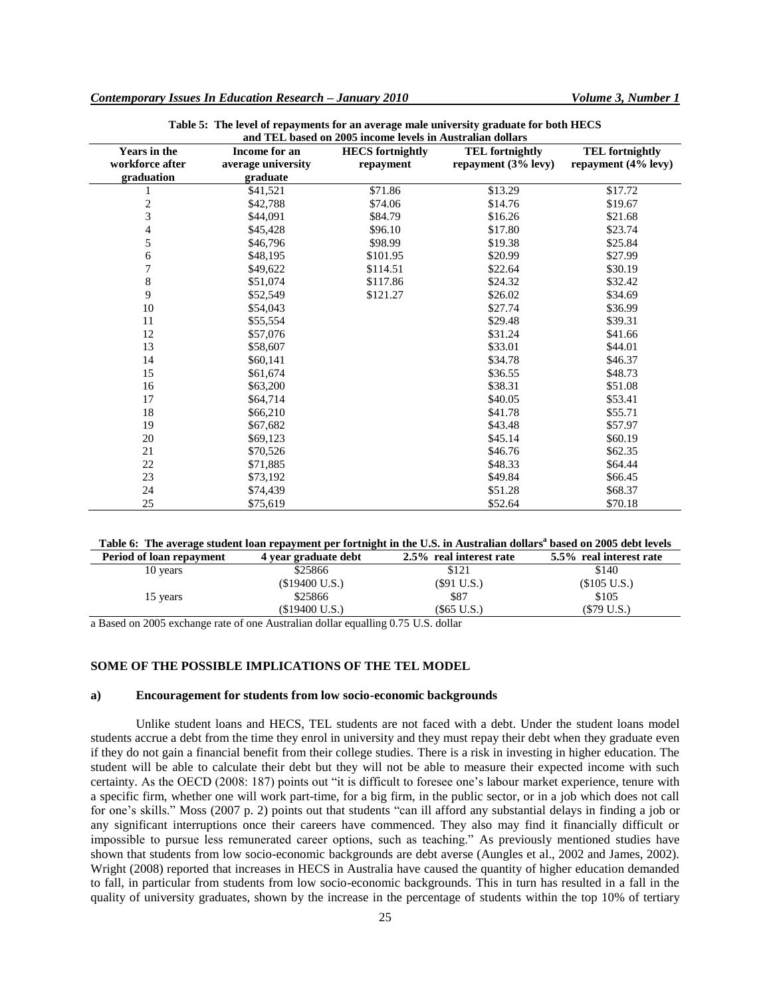| <b>Years in the</b><br>workforce after | Income for an<br>average university | <b>HECS</b> fortnightly<br>repayment | <b>TEL</b> fortnightly<br>repayment $(3\%$ levy) | <b>TEL</b> fortnightly<br>repayment $(4\%$ levy) |
|----------------------------------------|-------------------------------------|--------------------------------------|--------------------------------------------------|--------------------------------------------------|
| graduation                             | graduate                            |                                      |                                                  |                                                  |
|                                        | \$41,521                            | \$71.86                              | \$13.29                                          | \$17.72                                          |
| $\boldsymbol{2}$                       | \$42,788                            | \$74.06                              | \$14.76                                          | \$19.67                                          |
| 3                                      | \$44,091                            | \$84.79                              | \$16.26                                          | \$21.68                                          |
| 4                                      | \$45,428                            | \$96.10                              | \$17.80                                          | \$23.74                                          |
| 5                                      | \$46,796                            | \$98.99                              | \$19.38                                          | \$25.84                                          |
| 6                                      | \$48,195                            | \$101.95                             | \$20.99                                          | \$27.99                                          |
| 7                                      | \$49,622                            | \$114.51                             | \$22.64                                          | \$30.19                                          |
| 8                                      | \$51,074                            | \$117.86                             | \$24.32                                          | \$32.42                                          |
| 9                                      | \$52,549                            | \$121.27                             | \$26.02                                          | \$34.69                                          |
| 10                                     | \$54,043                            |                                      | \$27.74                                          | \$36.99                                          |
| 11                                     | \$55,554                            |                                      | \$29.48                                          | \$39.31                                          |
| 12                                     | \$57,076                            |                                      | \$31.24                                          | \$41.66                                          |
| 13                                     | \$58,607                            |                                      | \$33.01                                          | \$44.01                                          |
| 14                                     | \$60,141                            |                                      | \$34.78                                          | \$46.37                                          |
| 15                                     | \$61,674                            |                                      | \$36.55                                          | \$48.73                                          |
| 16                                     | \$63,200                            |                                      | \$38.31                                          | \$51.08                                          |
| 17                                     | \$64,714                            |                                      | \$40.05                                          | \$53.41                                          |
| $18\,$                                 | \$66,210                            |                                      | \$41.78                                          | \$55.71                                          |
| 19                                     | \$67,682                            |                                      | \$43.48                                          | \$57.97                                          |
| 20                                     | \$69,123                            |                                      | \$45.14                                          | \$60.19                                          |
| 21                                     | \$70,526                            |                                      | \$46.76                                          | \$62.35                                          |
| $22\,$                                 | \$71,885                            |                                      | \$48.33                                          | \$64.44                                          |
| 23                                     | \$73,192                            |                                      | \$49.84                                          | \$66.45                                          |
| 24                                     | \$74,439                            |                                      | \$51.28                                          | \$68.37                                          |
| 25                                     | \$75,619                            |                                      | \$52.64                                          | \$70.18                                          |

| Table 5: The level of repayments for an average male university graduate for both HECS |
|----------------------------------------------------------------------------------------|
| and TEL based on 2005 income levels in Australian dollars                              |

#### **Table 6: The average student loan repayment per fortnight in the U.S. in Australian dollars<sup>a</sup> based on 2005 debt levels Period of loan repayment 4 year graduate debt 2.5% real interest rate 5.5% real interest rate**

|          | $\overline{\phantom{a}}$ |               |              |
|----------|--------------------------|---------------|--------------|
| 10 years | \$25866                  | \$121         | \$140        |
|          | $$19400$ U.S.)           | $(\$91 U.S.)$ | (\$105 U.S.) |
| 15 years | \$25866                  | \$87          | \$105        |
|          | (\$19400 U.S.)           | (\$65 U.S.)   | (\$79 U.S.)  |

a Based on 2005 exchange rate of one Australian dollar equalling 0.75 U.S. dollar

## **SOME OF THE POSSIBLE IMPLICATIONS OF THE TEL MODEL**

#### **a) Encouragement for students from low socio-economic backgrounds**

Unlike student loans and HECS, TEL students are not faced with a debt. Under the student loans model students accrue a debt from the time they enrol in university and they must repay their debt when they graduate even if they do not gain a financial benefit from their college studies. There is a risk in investing in higher education. The student will be able to calculate their debt but they will not be able to measure their expected income with such certainty. As the OECD (2008: 187) points out "it is difficult to foresee one"s labour market experience, tenure with a specific firm, whether one will work part-time, for a big firm, in the public sector, or in a job which does not call for one's skills." Moss (2007 p. 2) points out that students "can ill afford any substantial delays in finding a job or any significant interruptions once their careers have commenced. They also may find it financially difficult or impossible to pursue less remunerated career options, such as teaching." As previously mentioned studies have shown that students from low socio-economic backgrounds are debt averse (Aungles et al., 2002 and James, 2002). Wright (2008) reported that increases in HECS in Australia have caused the quantity of higher education demanded to fall, in particular from students from low socio-economic backgrounds. This in turn has resulted in a fall in the quality of university graduates, shown by the increase in the percentage of students within the top 10% of tertiary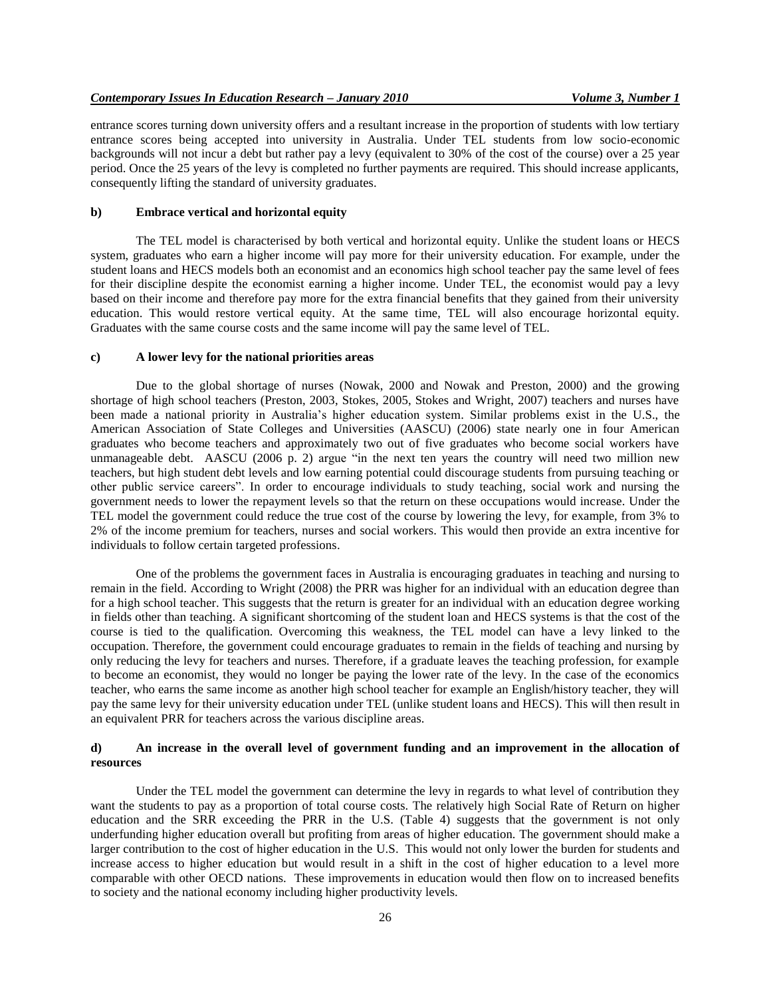entrance scores turning down university offers and a resultant increase in the proportion of students with low tertiary entrance scores being accepted into university in Australia. Under TEL students from low socio-economic backgrounds will not incur a debt but rather pay a levy (equivalent to 30% of the cost of the course) over a 25 year period. Once the 25 years of the levy is completed no further payments are required. This should increase applicants, consequently lifting the standard of university graduates.

#### **b) Embrace vertical and horizontal equity**

The TEL model is characterised by both vertical and horizontal equity. Unlike the student loans or HECS system, graduates who earn a higher income will pay more for their university education. For example, under the student loans and HECS models both an economist and an economics high school teacher pay the same level of fees for their discipline despite the economist earning a higher income. Under TEL, the economist would pay a levy based on their income and therefore pay more for the extra financial benefits that they gained from their university education. This would restore vertical equity. At the same time, TEL will also encourage horizontal equity. Graduates with the same course costs and the same income will pay the same level of TEL.

#### **c) A lower levy for the national priorities areas**

Due to the global shortage of nurses (Nowak, 2000 and Nowak and Preston, 2000) and the growing shortage of high school teachers (Preston, 2003, Stokes, 2005, Stokes and Wright, 2007) teachers and nurses have been made a national priority in Australia"s higher education system. Similar problems exist in the U.S., the American Association of State Colleges and Universities (AASCU) (2006) state nearly one in four American graduates who become teachers and approximately two out of five graduates who become social workers have unmanageable debt. AASCU (2006 p. 2) argue "in the next ten years the country will need two million new teachers, but high student debt levels and low earning potential could discourage students from pursuing teaching or other public service careers". In order to encourage individuals to study teaching, social work and nursing the government needs to lower the repayment levels so that the return on these occupations would increase. Under the TEL model the government could reduce the true cost of the course by lowering the levy, for example, from 3% to 2% of the income premium for teachers, nurses and social workers. This would then provide an extra incentive for individuals to follow certain targeted professions.

One of the problems the government faces in Australia is encouraging graduates in teaching and nursing to remain in the field. According to Wright (2008) the PRR was higher for an individual with an education degree than for a high school teacher. This suggests that the return is greater for an individual with an education degree working in fields other than teaching. A significant shortcoming of the student loan and HECS systems is that the cost of the course is tied to the qualification. Overcoming this weakness, the TEL model can have a levy linked to the occupation. Therefore, the government could encourage graduates to remain in the fields of teaching and nursing by only reducing the levy for teachers and nurses. Therefore, if a graduate leaves the teaching profession, for example to become an economist, they would no longer be paying the lower rate of the levy. In the case of the economics teacher, who earns the same income as another high school teacher for example an English/history teacher, they will pay the same levy for their university education under TEL (unlike student loans and HECS). This will then result in an equivalent PRR for teachers across the various discipline areas.

## **d) An increase in the overall level of government funding and an improvement in the allocation of resources**

Under the TEL model the government can determine the levy in regards to what level of contribution they want the students to pay as a proportion of total course costs. The relatively high Social Rate of Return on higher education and the SRR exceeding the PRR in the U.S. (Table 4) suggests that the government is not only underfunding higher education overall but profiting from areas of higher education. The government should make a larger contribution to the cost of higher education in the U.S. This would not only lower the burden for students and increase access to higher education but would result in a shift in the cost of higher education to a level more comparable with other OECD nations. These improvements in education would then flow on to increased benefits to society and the national economy including higher productivity levels.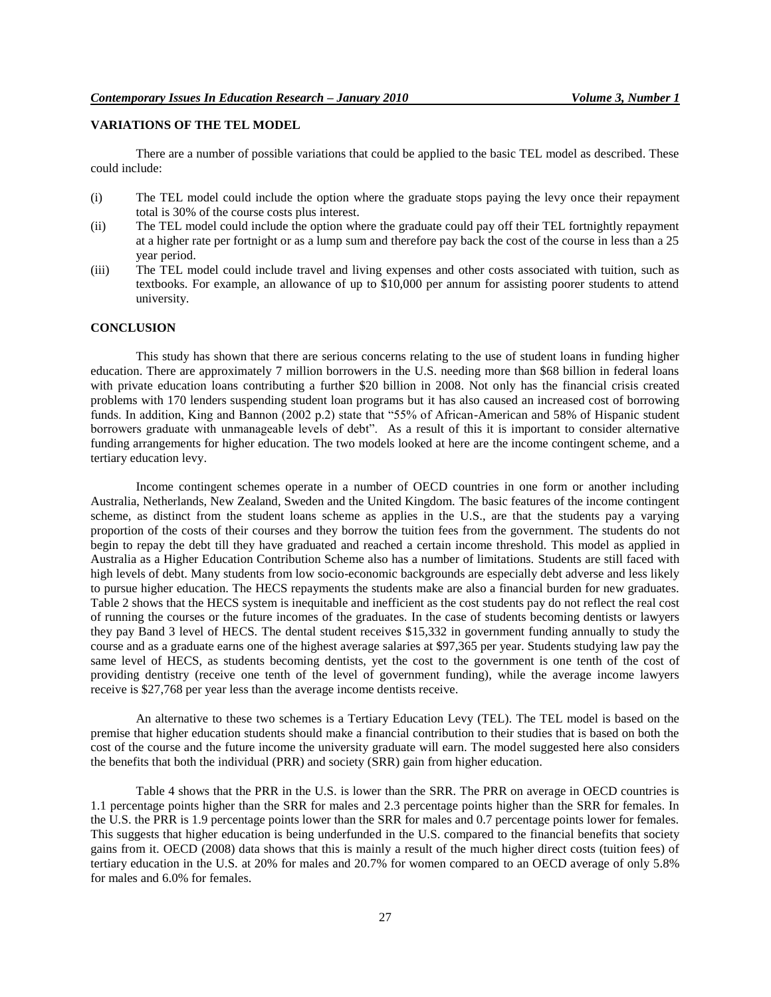## **VARIATIONS OF THE TEL MODEL**

There are a number of possible variations that could be applied to the basic TEL model as described. These could include:

- (i) The TEL model could include the option where the graduate stops paying the levy once their repayment total is 30% of the course costs plus interest.
- (ii) The TEL model could include the option where the graduate could pay off their TEL fortnightly repayment at a higher rate per fortnight or as a lump sum and therefore pay back the cost of the course in less than a 25 year period.
- (iii) The TEL model could include travel and living expenses and other costs associated with tuition, such as textbooks. For example, an allowance of up to \$10,000 per annum for assisting poorer students to attend university.

#### **CONCLUSION**

This study has shown that there are serious concerns relating to the use of student loans in funding higher education. There are approximately 7 million borrowers in the U.S. needing more than \$68 billion in federal loans with private education loans contributing a further \$20 billion in 2008. Not only has the financial crisis created problems with 170 lenders suspending student loan programs but it has also caused an increased cost of borrowing funds. In addition, King and Bannon (2002 p.2) state that "55% of African-American and 58% of Hispanic student borrowers graduate with unmanageable levels of debt". As a result of this it is important to consider alternative funding arrangements for higher education. The two models looked at here are the income contingent scheme, and a tertiary education levy.

Income contingent schemes operate in a number of OECD countries in one form or another including Australia, Netherlands, New Zealand, Sweden and the United Kingdom. The basic features of the income contingent scheme, as distinct from the student loans scheme as applies in the U.S., are that the students pay a varying proportion of the costs of their courses and they borrow the tuition fees from the government. The students do not begin to repay the debt till they have graduated and reached a certain income threshold. This model as applied in Australia as a Higher Education Contribution Scheme also has a number of limitations. Students are still faced with high levels of debt. Many students from low socio-economic backgrounds are especially debt adverse and less likely to pursue higher education. The HECS repayments the students make are also a financial burden for new graduates. Table 2 shows that the HECS system is inequitable and inefficient as the cost students pay do not reflect the real cost of running the courses or the future incomes of the graduates. In the case of students becoming dentists or lawyers they pay Band 3 level of HECS. The dental student receives \$15,332 in government funding annually to study the course and as a graduate earns one of the highest average salaries at \$97,365 per year. Students studying law pay the same level of HECS, as students becoming dentists, yet the cost to the government is one tenth of the cost of providing dentistry (receive one tenth of the level of government funding), while the average income lawyers receive is \$27,768 per year less than the average income dentists receive.

An alternative to these two schemes is a Tertiary Education Levy (TEL). The TEL model is based on the premise that higher education students should make a financial contribution to their studies that is based on both the cost of the course and the future income the university graduate will earn. The model suggested here also considers the benefits that both the individual (PRR) and society (SRR) gain from higher education.

Table 4 shows that the PRR in the U.S. is lower than the SRR. The PRR on average in OECD countries is 1.1 percentage points higher than the SRR for males and 2.3 percentage points higher than the SRR for females. In the U.S. the PRR is 1.9 percentage points lower than the SRR for males and 0.7 percentage points lower for females. This suggests that higher education is being underfunded in the U.S. compared to the financial benefits that society gains from it. OECD (2008) data shows that this is mainly a result of the much higher direct costs (tuition fees) of tertiary education in the U.S. at 20% for males and 20.7% for women compared to an OECD average of only 5.8% for males and 6.0% for females.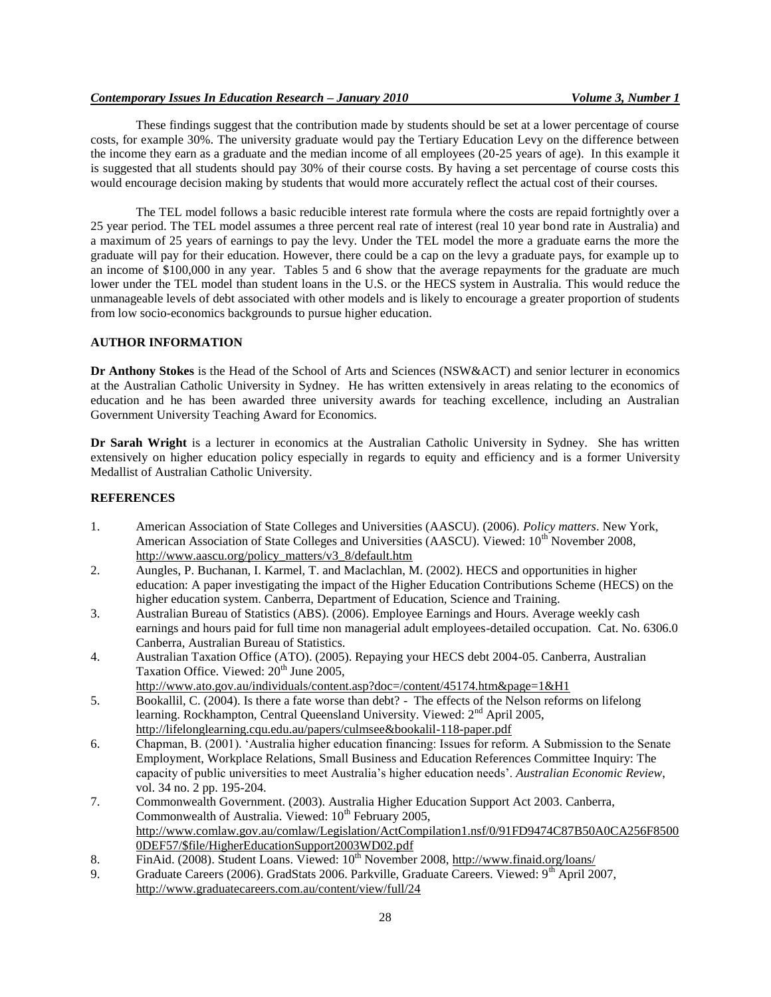## *Contemporary Issues In Education Research – January 2010 Volume 3, Number 1*

These findings suggest that the contribution made by students should be set at a lower percentage of course costs, for example 30%. The university graduate would pay the Tertiary Education Levy on the difference between the income they earn as a graduate and the median income of all employees (20-25 years of age). In this example it is suggested that all students should pay 30% of their course costs. By having a set percentage of course costs this would encourage decision making by students that would more accurately reflect the actual cost of their courses.

The TEL model follows a basic reducible interest rate formula where the costs are repaid fortnightly over a 25 year period. The TEL model assumes a three percent real rate of interest (real 10 year bond rate in Australia) and a maximum of 25 years of earnings to pay the levy. Under the TEL model the more a graduate earns the more the graduate will pay for their education. However, there could be a cap on the levy a graduate pays, for example up to an income of \$100,000 in any year. Tables 5 and 6 show that the average repayments for the graduate are much lower under the TEL model than student loans in the U.S. or the HECS system in Australia. This would reduce the unmanageable levels of debt associated with other models and is likely to encourage a greater proportion of students from low socio-economics backgrounds to pursue higher education.

## **AUTHOR INFORMATION**

**Dr Anthony Stokes** is the Head of the School of Arts and Sciences (NSW&ACT) and senior lecturer in economics at the Australian Catholic University in Sydney. He has written extensively in areas relating to the economics of education and he has been awarded three university awards for teaching excellence, including an Australian Government University Teaching Award for Economics.

**Dr Sarah Wright** is a lecturer in economics at the Australian Catholic University in Sydney. She has written extensively on higher education policy especially in regards to equity and efficiency and is a former University Medallist of Australian Catholic University.

## **REFERENCES**

- 1. American Association of State Colleges and Universities (AASCU). (2006). *Policy matters*. New York, American Association of State Colleges and Universities (AASCU). Viewed: 10<sup>th</sup> November 2008, [http://www.aascu.org/policy\\_matters/v3\\_8/default.htm](http://www.aascu.org/policy_matters/v3_8/default.htm)
- 2. Aungles, P. Buchanan, I. Karmel, T. and Maclachlan, M. (2002). HECS and opportunities in higher education: A paper investigating the impact of the Higher Education Contributions Scheme (HECS) on the higher education system. Canberra, Department of Education, Science and Training.
- 3. Australian Bureau of Statistics (ABS). (2006). Employee Earnings and Hours. Average weekly cash earnings and hours paid for full time non managerial adult employees-detailed occupation. Cat. No. 6306.0 Canberra, Australian Bureau of Statistics.
- 4. Australian Taxation Office (ATO). (2005). Repaying your HECS debt 2004-05. Canberra, Australian Taxation Office. Viewed:  $20<sup>th</sup>$  June 2005,
- <http://www.ato.gov.au/individuals/content.asp?doc=/content/45174.htm&page=1&H1> 5. Bookallil, C. (2004). Is there a fate worse than debt? - The effects of the Nelson reforms on lifelong learning. Rockhampton, Central Queensland University. Viewed:  $2<sup>nd</sup>$  April 2005, <http://lifelonglearning.cqu.edu.au/papers/culmsee&bookalil-118-paper.pdf>
- 6. Chapman, B. (2001). "Australia higher education financing: Issues for reform. A Submission to the Senate Employment, Workplace Relations, Small Business and Education References Committee Inquiry: The capacity of public universities to meet Australia"s higher education needs". *Australian Economic Review*, vol. 34 no. 2 pp. 195-204.
- 7. Commonwealth Government. (2003). Australia Higher Education Support Act 2003. Canberra, Commonwealth of Australia. Viewed:  $10<sup>th</sup>$  February 2005, [http://www.comlaw.gov.au/comlaw/Legislation/ActCompilation1.nsf/0/91FD9474C87B50A0CA256F8500](http://www.comlaw.gov.au/comlaw/Legislation/ActCompilation1.nsf/0/91FD9474C87B50A0CA256F85000DEF57/$file/HigherEducationSupport2003WD02.pdf) [0DEF57/\\$file/HigherEducationSupport2003WD02.pdf](http://www.comlaw.gov.au/comlaw/Legislation/ActCompilation1.nsf/0/91FD9474C87B50A0CA256F85000DEF57/$file/HigherEducationSupport2003WD02.pdf)
- 8. FinAid. (2008). Student Loans. Viewed:  $10^{th}$  November 2008,<http://www.finaid.org/loans/>
- 9. Graduate Careers (2006). GradStats 2006. Parkville, Graduate Careers. Viewed: 9<sup>th</sup> April 2007, <http://www.graduatecareers.com.au/content/view/full/24>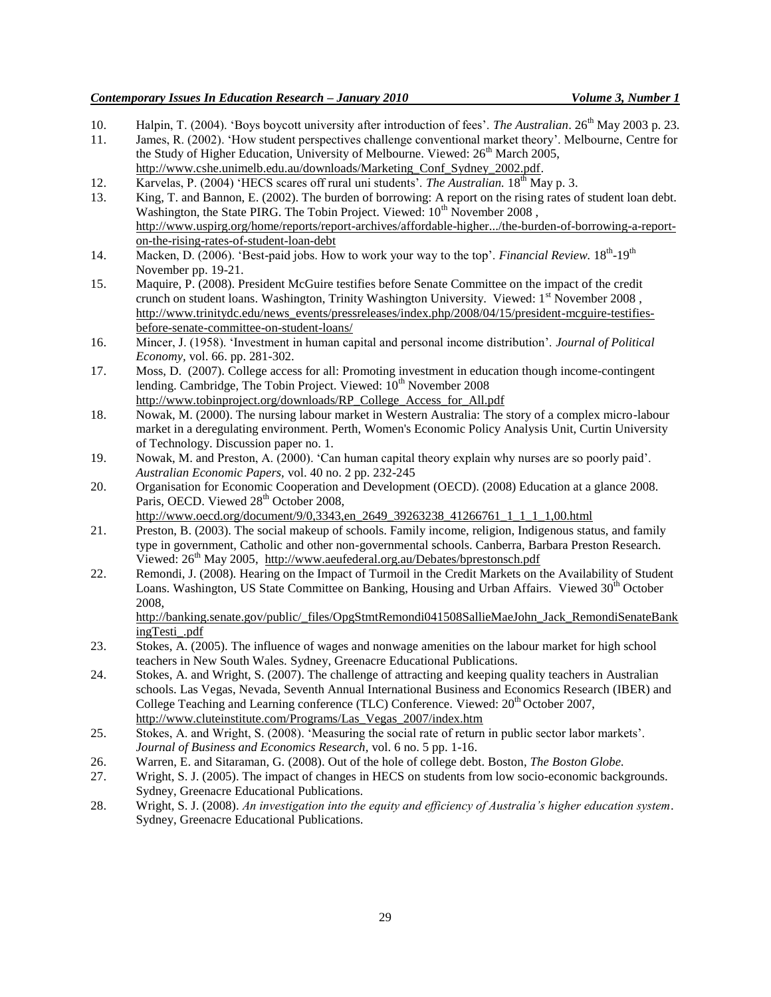- 10. Halpin, T. (2004). "Boys boycott university after introduction of fees". *The Australian*. 26th May 2003 p. 23.
- 11. James, R. (2002). "How student perspectives challenge conventional market theory". Melbourne, Centre for the Study of Higher Education, University of Melbourne. Viewed: 26<sup>th</sup> March 2005, [http://www.cshe.unimelb.edu.au/downloads/Marketing\\_Conf\\_Sydney\\_2002.pdf.](http://www.cshe.unimelb.edu.au/downloads/Marketing_Conf_Sydney_2002.pdf)
- 12. Karvelas, P. (2004) 'HECS scares off rural uni students'. *The Australian*. 18<sup>th</sup> May p. 3.
- 13. King, T. and Bannon, E. (2002). The burden of borrowing: A report on the rising rates of student loan debt. Washington, the State PIRG. The Tobin Project. Viewed: 10<sup>th</sup> November 2008, [http://www.uspirg.org/home/reports/report-archives/affordable-higher.../the-burden-of-borrowing-a-report](http://www.uspirg.org/home/reports/report-archives/affordable-higher.../the-burden-of-borrowing-a-report-on-the-rising-rates-of-student-loan-debt)[on-the-rising-rates-of-student-loan-debt](http://www.uspirg.org/home/reports/report-archives/affordable-higher.../the-burden-of-borrowing-a-report-on-the-rising-rates-of-student-loan-debt)
- 14. Macken, D. (2006). 'Best-paid jobs. How to work your way to the top'. *Financial Review*. 18<sup>th</sup>-19<sup>th</sup> November pp. 19-21.
- 15. Maquire, P. (2008). [President McGuire testifies before Senate Committee on the impact of the credit](http://www.trinitydc.edu/news_events/pressreleases/index.php/2008/04/15/president-mcguire-testifies-before-senate-committee-on-student-loans/)  [crunch on student loans.](http://www.trinitydc.edu/news_events/pressreleases/index.php/2008/04/15/president-mcguire-testifies-before-senate-committee-on-student-loans/) Washington, Trinity Washington University. Viewed:  $1<sup>st</sup>$  November 2008, [http://www.trinitydc.edu/news\\_events/pressreleases/index.php/2008/04/15/president-mcguire-testifies](http://www.trinitydc.edu/news_events/pressreleases/index.php/2008/04/15/president-mcguire-testifies-before-senate-committee-on-student-loans/)[before-senate-committee-on-student-loans/](http://www.trinitydc.edu/news_events/pressreleases/index.php/2008/04/15/president-mcguire-testifies-before-senate-committee-on-student-loans/)
- 16. Mincer, J. (1958). "Investment in human capital and personal income distribution". *Journal of Political Economy,* vol. 66. pp. 281-302.
- 17. Moss, D. (2007). College access for all: Promoting investment in education though income-contingent lending. Cambridge, The Tobin Project. Viewed: 10<sup>th</sup> November 2008 [http://www.tobinproject.org/downloads/RP\\_College\\_Access\\_for\\_All.pdf](http://www.tobinproject.org/downloads/RP_College_Access_for_All.pdf)
- 18. Nowak, M. (2000). The nursing labour market in Western Australia: The story of a complex micro-labour market in a deregulating environment. Perth, Women's Economic Policy Analysis Unit, Curtin University of Technology. Discussion paper no. 1.
- 19. Nowak, M. and Preston, A. (2000). "Can human capital theory explain why nurses are so poorly paid". *Australian Economic Papers,* vol. 40 no. 2 pp. 232-245
- 20. Organisation for Economic Cooperation and Development (OECD). (2008) Education at a glance 2008. Paris, OECD. Viewed 28<sup>th</sup> October 2008,
- [http://www.oecd.org/document/9/0,3343,en\\_2649\\_39263238\\_41266761\\_1\\_1\\_1\\_1,00.html](http://www.oecd.org/document/9/0,3343,en_2649_39263238_41266761_1_1_1_1,00.html)
- 21. Preston, B. (2003). The social makeup of schools. Family income, religion, Indigenous status, and family type in government, Catholic and other non-governmental schools. Canberra, Barbara Preston Research. Viewed:  $26^{th}$  May 2005, <http://www.aeufederal.org.au/Debates/bprestonsch.pdf>
- 22. Remondi, J. (2008). Hearing on the Impact of Turmoil in the Credit Markets on the Availability of Student Loans. Washington, US State Committee on Banking, Housing and Urban Affairs. Viewed  $30<sup>th</sup>$  October 2008,

[http://banking.senate.gov/public/\\_files/OpgStmtRemondi041508SallieMaeJohn\\_Jack\\_RemondiSenateBank](http://banking.senate.gov/public/_files/OpgStmtRemondi041508SallieMaeJohn_Jack_RemondiSenateBankingTesti_.pdf) [ingTesti\\_.pdf](http://banking.senate.gov/public/_files/OpgStmtRemondi041508SallieMaeJohn_Jack_RemondiSenateBankingTesti_.pdf)

- 23. Stokes, A. (2005). The influence of wages and nonwage amenities on the labour market for high school teachers in New South Wales. Sydney, Greenacre Educational Publications.
- 24. Stokes, A. and Wright, S. (2007). The challenge of attracting and keeping quality teachers in Australian schools. Las Vegas, Nevada, Seventh Annual International Business and Economics Research (IBER) and College Teaching and Learning conference (TLC) Conference. Viewed:  $20^{th}$  October 2007, [http://www.cluteinstitute.com/Programs/Las\\_Vegas\\_2007/index.htm](http://www.cluteinstitute.com/Programs/Las_Vegas_2007/index.htm)
- 25. Stokes, A. and Wright, S. (2008). "Measuring the social rate of return in public sector labor markets". *Journal of Business and Economics Research,* vol. 6 no. 5 pp. 1-16.
- 26. Warren, E. and Sitaraman, G. (2008). Out of the hole of college debt. Boston, *The Boston Globe.*
- 27. Wright, S. J. (2005). The impact of changes in HECS on students from low socio-economic backgrounds. Sydney, Greenacre Educational Publications.
- 28. Wright, S. J. (2008). *An investigation into the equity and efficiency of Australia's higher education system*. Sydney, Greenacre Educational Publications.